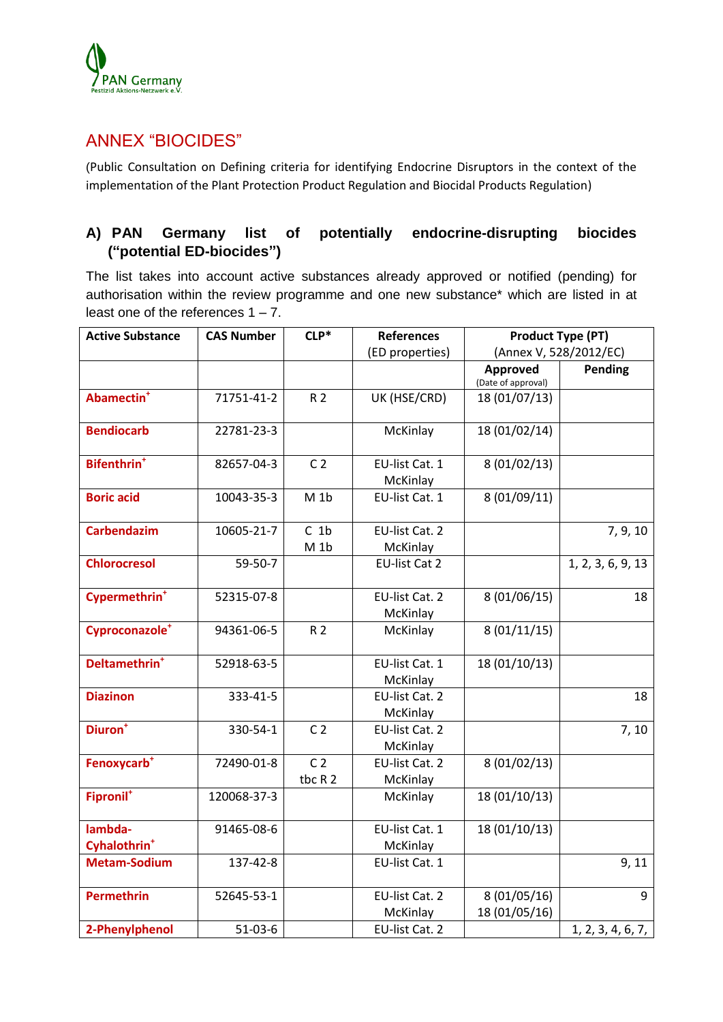

# ANNEX "BIOCIDES"

(Public Consultation on Defining criteria for identifying Endocrine Disruptors in the context of the implementation of the Plant Protection Product Regulation and Biocidal Products Regulation)

# **A) PAN Germany list of potentially endocrine-disrupting biocides ("potential ED-biocides")**

The list takes into account active substances already approved or notified (pending) for authorisation within the review programme and one new substance\* which are listed in at least one of the references  $1 - 7$ .

| <b>Active Substance</b>       | <b>CAS Number</b> | $CLP*$                    | <b>References</b>          | <b>Product Type (PT)</b>      |                   |
|-------------------------------|-------------------|---------------------------|----------------------------|-------------------------------|-------------------|
|                               |                   |                           | (ED properties)            | (Annex V, 528/2012/EC)        |                   |
|                               |                   |                           |                            | Approved                      | Pending           |
|                               |                   |                           |                            | (Date of approval)            |                   |
| Abamectin <sup>+</sup>        | 71751-41-2        | R 2                       | UK (HSE/CRD)               | 18 (01/07/13)                 |                   |
| <b>Bendiocarb</b>             | 22781-23-3        |                           | McKinlay                   | 18 (01/02/14)                 |                   |
| <b>Bifenthrin<sup>+</sup></b> | 82657-04-3        | C <sub>2</sub>            | EU-list Cat. 1<br>McKinlay | 8 (01/02/13)                  |                   |
| <b>Boric acid</b>             | 10043-35-3        | $M_1b$                    | EU-list Cat. 1             | 8 (01/09/11)                  |                   |
| <b>Carbendazim</b>            | 10605-21-7        | $C_1$<br>$M_1b$           | EU-list Cat. 2<br>McKinlay |                               | 7, 9, 10          |
| <b>Chlorocresol</b>           | 59-50-7           |                           | <b>EU-list Cat 2</b>       |                               | 1, 2, 3, 6, 9, 13 |
| Cypermethrin <sup>+</sup>     | 52315-07-8        |                           | EU-list Cat. 2<br>McKinlay | 8 (01/06/15)                  | 18                |
| Cyproconazole <sup>+</sup>    | 94361-06-5        | R 2                       | McKinlay                   | 8(01/11/15)                   |                   |
| Deltamethrin <sup>+</sup>     | 52918-63-5        |                           | EU-list Cat. 1<br>McKinlay | 18 (01/10/13)                 |                   |
| <b>Diazinon</b>               | 333-41-5          |                           | EU-list Cat. 2<br>McKinlay |                               | 18                |
| Diuron <sup>+</sup>           | 330-54-1          | C <sub>2</sub>            | EU-list Cat. 2<br>McKinlay |                               | 7, 10             |
| Fenoxycarb <sup>+</sup>       | 72490-01-8        | C <sub>2</sub><br>tbc R 2 | EU-list Cat. 2<br>McKinlay | 8 (01/02/13)                  |                   |
| Fipronil <sup>+</sup>         | 120068-37-3       |                           | McKinlay                   | 18 (01/10/13)                 |                   |
| lambda-                       | 91465-08-6        |                           | EU-list Cat. 1             | 18 (01/10/13)                 |                   |
| Cyhalothrin <sup>+</sup>      |                   |                           | McKinlay                   |                               |                   |
| <b>Metam-Sodium</b>           | 137-42-8          |                           | EU-list Cat. 1             |                               | 9, 11             |
| <b>Permethrin</b>             | 52645-53-1        |                           | EU-list Cat. 2<br>McKinlay | 8 (01/05/16)<br>18 (01/05/16) | 9                 |
| 2-Phenylphenol                | $51-03-6$         |                           | EU-list Cat. 2             |                               | 1, 2, 3, 4, 6, 7, |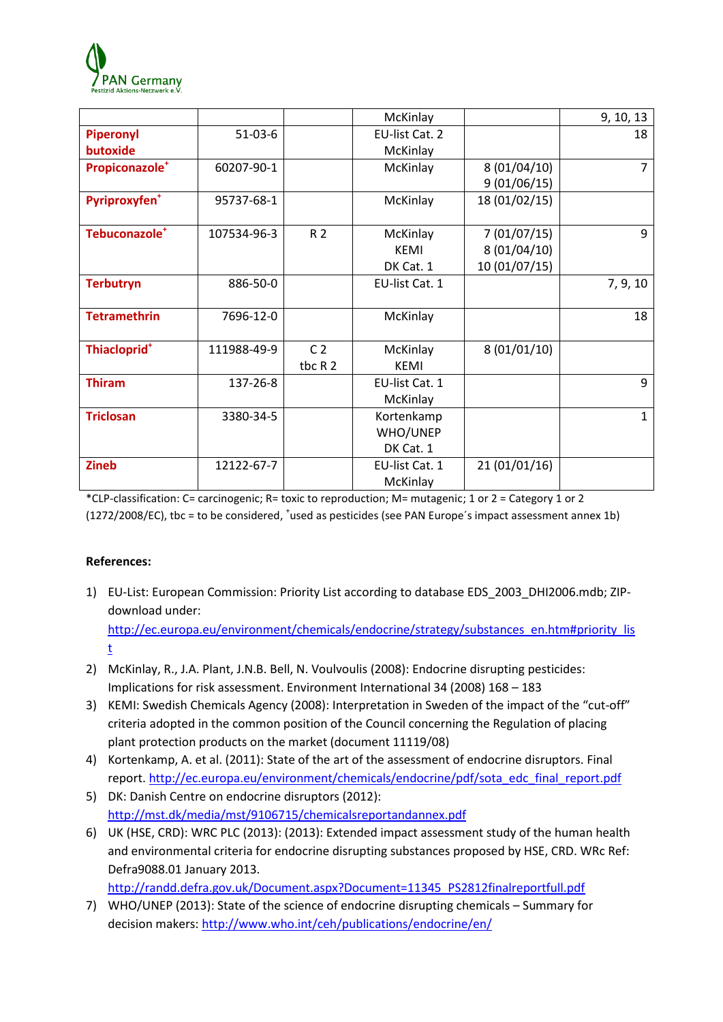

|                            |             |                | McKinlay       |               | 9, 10, 13 |
|----------------------------|-------------|----------------|----------------|---------------|-----------|
| Piperonyl                  | $51-03-6$   |                | EU-list Cat. 2 |               | 18        |
| butoxide                   |             |                | McKinlay       |               |           |
| Propiconazole <sup>+</sup> | 60207-90-1  |                | McKinlay       | 8(01/04/10)   | 7         |
|                            |             |                |                | 9(01/06/15)   |           |
| Pyriproxyfen <sup>+</sup>  | 95737-68-1  |                | McKinlay       | 18 (01/02/15) |           |
|                            |             |                |                |               |           |
| Tebuconazole <sup>+</sup>  | 107534-96-3 | R 2            | McKinlay       | 7(01/07/15)   | 9         |
|                            |             |                | <b>KEMI</b>    | 8 (01/04/10)  |           |
|                            |             |                | DK Cat. 1      | 10 (01/07/15) |           |
| <b>Terbutryn</b>           | 886-50-0    |                | EU-list Cat. 1 |               | 7, 9, 10  |
|                            |             |                |                |               |           |
| <b>Tetramethrin</b>        | 7696-12-0   |                | McKinlay       |               | 18        |
|                            |             |                |                |               |           |
| Thiacloprid <sup>+</sup>   | 111988-49-9 | C <sub>2</sub> | McKinlay       | 8(01/01/10)   |           |
|                            |             | tbc R 2        | <b>KEMI</b>    |               |           |
| <b>Thiram</b>              | 137-26-8    |                | EU-list Cat. 1 |               | 9         |
|                            |             |                | McKinlay       |               |           |
| <b>Triclosan</b>           | 3380-34-5   |                | Kortenkamp     |               | 1         |
|                            |             |                | WHO/UNEP       |               |           |
|                            |             |                | DK Cat. 1      |               |           |
| <b>Zineb</b>               | 12122-67-7  |                | EU-list Cat. 1 | 21 (01/01/16) |           |
|                            |             |                | McKinlay       |               |           |

\*CLP-classification: C= carcinogenic; R= toxic to reproduction; M= mutagenic; 1 or 2 = Category 1 or 2 (1272/2008/EC), tbc = to be considered, 'used as pesticides (see PAN Europe's impact assessment annex 1b)

#### **References:**

- 1) EU-List: European Commission: Priority List according to database EDS\_2003\_DHI2006.mdb; ZIPdownload under: [http://ec.europa.eu/environment/chemicals/endocrine/strategy/substances\\_en.htm#priority\\_lis](http://ec.europa.eu/environment/chemicals/endocrine/strategy/substances_en.htm#priority_list) [t](http://ec.europa.eu/environment/chemicals/endocrine/strategy/substances_en.htm#priority_list)
- 2) McKinlay, R., J.A. Plant, J.N.B. Bell, N. Voulvoulis (2008): Endocrine disrupting pesticides: Implications for risk assessment. Environment International 34 (2008) 168 – 183
- 3) KEMI: Swedish Chemicals Agency (2008): Interpretation in Sweden of the impact of the "cut-off" criteria adopted in the common position of the Council concerning the Regulation of placing plant protection products on the market (document 11119/08)
- 4) Kortenkamp, A. et al. (2011): State of the art of the assessment of endocrine disruptors. Final report[. http://ec.europa.eu/environment/chemicals/endocrine/pdf/sota\\_edc\\_final\\_report.pdf](http://ec.europa.eu/environment/chemicals/endocrine/pdf/sota_edc_final_report.pdf)
- 5) DK: Danish Centre on endocrine disruptors (2012): <http://mst.dk/media/mst/9106715/chemicalsreportandannex.pdf>
- 6) UK (HSE, CRD): WRC PLC (2013): (2013): Extended impact assessment study of the human health and environmental criteria for endocrine disrupting substances proposed by HSE, CRD. WRc Ref: Defra9088.01 January 2013.

[http://randd.defra.gov.uk/Document.aspx?Document=11345\\_PS2812finalreportfull.pdf](http://randd.defra.gov.uk/Document.aspx?Document=11345_PS2812finalreportfull.pdf)

7) WHO/UNEP (2013): State of the science of endocrine disrupting chemicals – Summary for decision makers:<http://www.who.int/ceh/publications/endocrine/en/>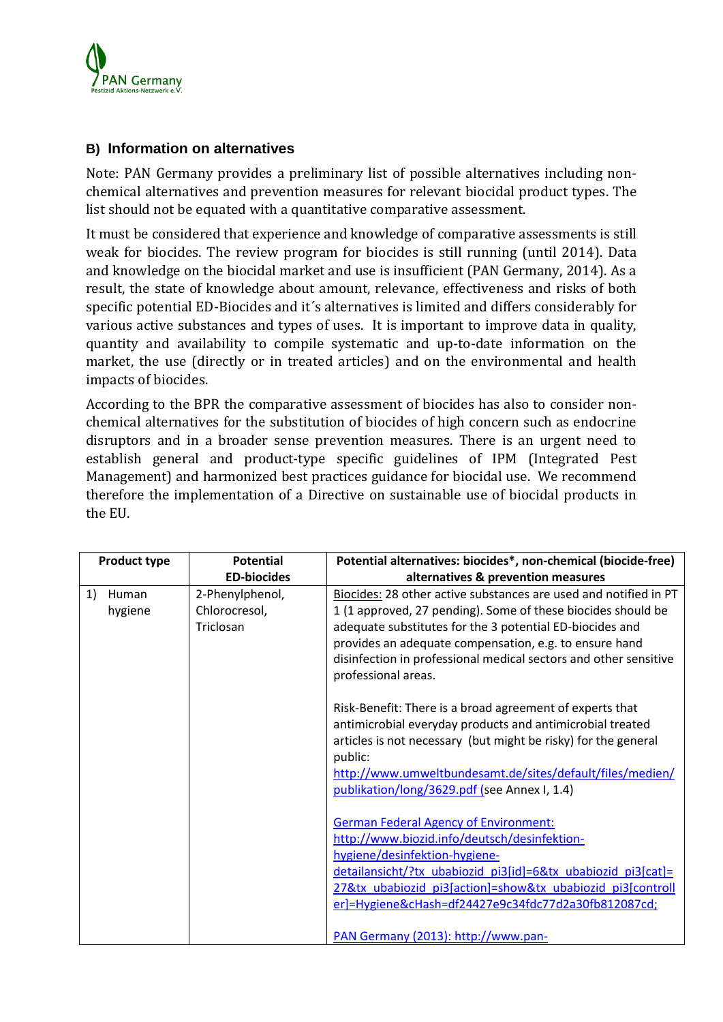

## **B) Information on alternatives**

Note: PAN Germany provides a preliminary list of possible alternatives including nonchemical alternatives and prevention measures for relevant biocidal product types. The list should not be equated with a quantitative comparative assessment.

It must be considered that experience and knowledge of comparative assessments is still weak for biocides. The review program for biocides is still running (until 2014). Data and knowledge on the biocidal market and use is insufficient (PAN Germany, 2014). As a result, the state of knowledge about amount, relevance, [effectiveness](http://dict.leo.org/ende/index_de.html#/search=effectiveness&searchLoc=0&resultOrder=basic&multiwordShowSingle=on) and risks of both specific potential ED-Biocides and it´s alternatives is limited and differs considerably for various active substances and types of uses. It is important to improve data in quality, quantity and availability to compile systematic and up-to-date information on the market, the use (directly or in treated articles) and on the environmental and health impacts of biocides.

According to the BPR the comparative assessment of biocides has also to consider nonchemical alternatives for the substitution of biocides of high concern such as endocrine disruptors and in a broader sense prevention measures. There is an urgent need to establish general and product-type specific guidelines of IPM (Integrated Pest Management) and harmonized best practices guidance for biocidal use. We recommend therefore the implementation of a Directive on sustainable use of biocidal products in the EU.

| <b>Product type</b>    | <b>Potential</b>                              | Potential alternatives: biocides*, non-chemical (biocide-free)                                                                                                                                                                                                                                                                                    |
|------------------------|-----------------------------------------------|---------------------------------------------------------------------------------------------------------------------------------------------------------------------------------------------------------------------------------------------------------------------------------------------------------------------------------------------------|
|                        | <b>ED-biocides</b>                            | alternatives & prevention measures                                                                                                                                                                                                                                                                                                                |
| 1)<br>Human<br>hygiene | 2-Phenylphenol,<br>Chlorocresol,<br>Triclosan | Biocides: 28 other active substances are used and notified in PT<br>1 (1 approved, 27 pending). Some of these biocides should be<br>adequate substitutes for the 3 potential ED-biocides and<br>provides an adequate compensation, e.g. to ensure hand<br>disinfection in professional medical sectors and other sensitive<br>professional areas. |
|                        |                                               | Risk-Benefit: There is a broad agreement of experts that<br>antimicrobial everyday products and antimicrobial treated<br>articles is not necessary (but might be risky) for the general<br>public:<br>http://www.umweltbundesamt.de/sites/default/files/medien/<br>publikation/long/3629.pdf (see Annex I, 1.4)                                   |
|                        |                                               | <b>German Federal Agency of Environment:</b><br>http://www.biozid.info/deutsch/desinfektion-<br>hygiene/desinfektion-hygiene-<br>detailansicht/?tx ubabiozid pi3[id]=6&tx ubabiozid pi3[cat]=<br>27&tx ubabiozid pi3[action]=show&tx ubabiozid pi3[controll<br>er]=Hygiene&cHash=df24427e9c34fdc77d2a30fb812087cd;                                |
|                        |                                               | PAN Germany (2013): http://www.pan-                                                                                                                                                                                                                                                                                                               |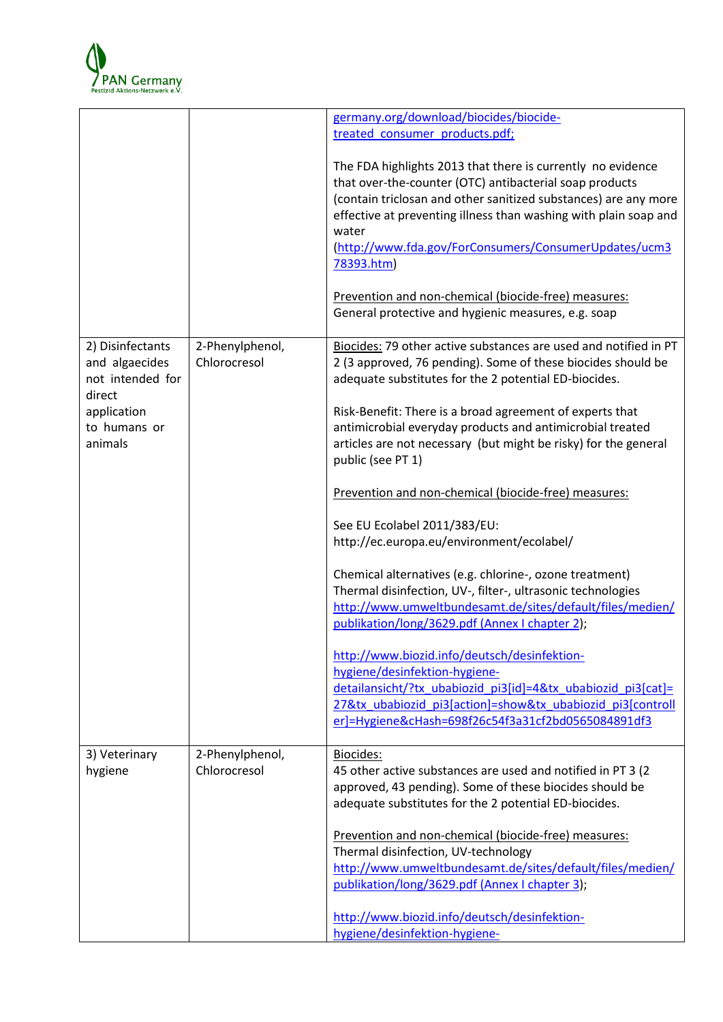

|                                                                  |                                 | germany.org/download/biocides/biocide-<br>treated consumer products.pdf;                                                                                                                                                                                                                                                                      |
|------------------------------------------------------------------|---------------------------------|-----------------------------------------------------------------------------------------------------------------------------------------------------------------------------------------------------------------------------------------------------------------------------------------------------------------------------------------------|
|                                                                  |                                 | The FDA highlights 2013 that there is currently no evidence<br>that over-the-counter (OTC) antibacterial soap products<br>(contain triclosan and other sanitized substances) are any more<br>effective at preventing illness than washing with plain soap and<br>water<br>(http://www.fda.gov/ForConsumers/ConsumerUpdates/ucm3<br>78393.htm) |
|                                                                  |                                 | Prevention and non-chemical (biocide-free) measures:<br>General protective and hygienic measures, e.g. soap                                                                                                                                                                                                                                   |
| 2) Disinfectants<br>and algaecides<br>not intended for<br>direct | 2-Phenylphenol,<br>Chlorocresol | Biocides: 79 other active substances are used and notified in PT<br>2 (3 approved, 76 pending). Some of these biocides should be<br>adequate substitutes for the 2 potential ED-biocides.                                                                                                                                                     |
| application<br>to humans or<br>animals                           |                                 | Risk-Benefit: There is a broad agreement of experts that<br>antimicrobial everyday products and antimicrobial treated<br>articles are not necessary (but might be risky) for the general<br>public (see PT 1)                                                                                                                                 |
|                                                                  |                                 | Prevention and non-chemical (biocide-free) measures:                                                                                                                                                                                                                                                                                          |
|                                                                  |                                 | See EU Ecolabel 2011/383/EU:<br>http://ec.europa.eu/environment/ecolabel/                                                                                                                                                                                                                                                                     |
|                                                                  |                                 | Chemical alternatives (e.g. chlorine-, ozone treatment)<br>Thermal disinfection, UV-, filter-, ultrasonic technologies<br>http://www.umweltbundesamt.de/sites/default/files/medien/<br>publikation/long/3629.pdf (Annex I chapter 2);                                                                                                         |
|                                                                  |                                 | http://www.biozid.info/deutsch/desinfektion-<br>hygiene/desinfektion-hygiene-<br>detailansicht/?tx_ubabiozid_pi3[id]=4&tx_ubabiozid_pi3[cat]=<br>27&tx ubabiozid pi3[action]=show&tx ubabiozid pi3[controll<br>er]=Hygiene&cHash=698f26c54f3a31cf2bd0565084891df3                                                                             |
| 3) Veterinary<br>hygiene                                         | 2-Phenylphenol,<br>Chlorocresol | Biocides:<br>45 other active substances are used and notified in PT 3 (2)<br>approved, 43 pending). Some of these biocides should be<br>adequate substitutes for the 2 potential ED-biocides.                                                                                                                                                 |
|                                                                  |                                 | Prevention and non-chemical (biocide-free) measures:<br>Thermal disinfection, UV-technology<br>http://www.umweltbundesamt.de/sites/default/files/medien/<br>publikation/long/3629.pdf (Annex I chapter 3);                                                                                                                                    |
|                                                                  |                                 | http://www.biozid.info/deutsch/desinfektion-<br>hygiene/desinfektion-hygiene-                                                                                                                                                                                                                                                                 |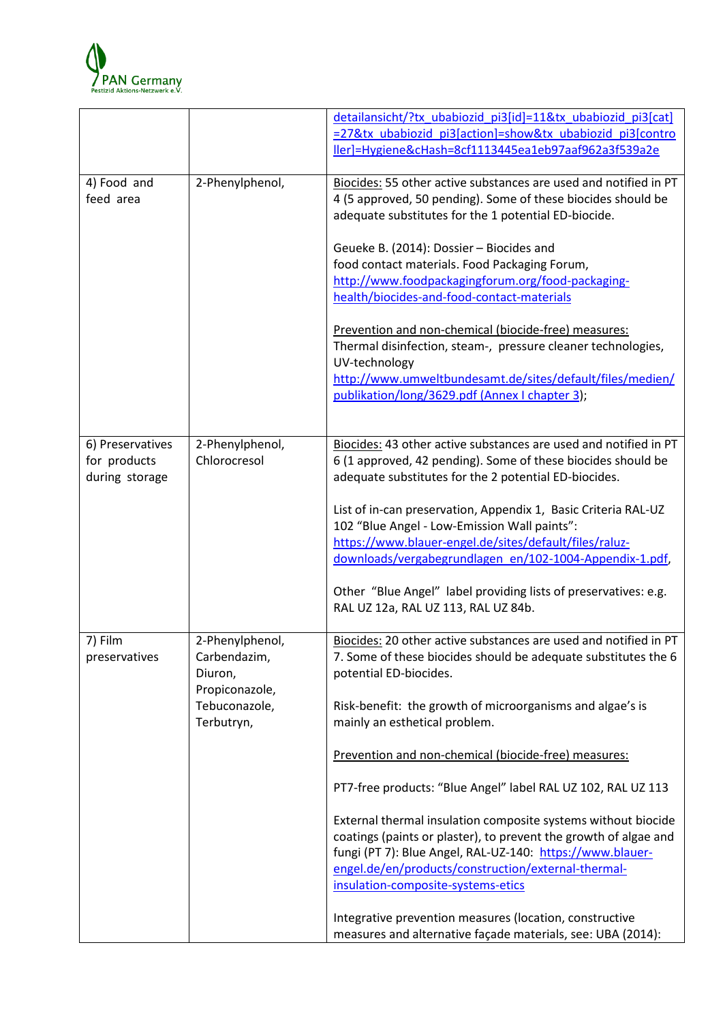

|                                                    |                                                              | detailansicht/?tx_ubabiozid_pi3[id]=11&tx_ubabiozid_pi3[cat]<br>=27&tx ubabiozid pi3[action]=show&tx ubabiozid pi3[contro<br>ller]=Hygiene&cHash=8cf1113445ea1eb97aaf962a3f539a2e                                                                                                                      |
|----------------------------------------------------|--------------------------------------------------------------|--------------------------------------------------------------------------------------------------------------------------------------------------------------------------------------------------------------------------------------------------------------------------------------------------------|
| 4) Food and<br>feed area                           | 2-Phenylphenol,                                              | Biocides: 55 other active substances are used and notified in PT<br>4 (5 approved, 50 pending). Some of these biocides should be<br>adequate substitutes for the 1 potential ED-biocide.                                                                                                               |
|                                                    |                                                              | Geueke B. (2014): Dossier - Biocides and<br>food contact materials. Food Packaging Forum,<br>http://www.foodpackagingforum.org/food-packaging-<br>health/biocides-and-food-contact-materials                                                                                                           |
|                                                    |                                                              | Prevention and non-chemical (biocide-free) measures:<br>Thermal disinfection, steam-, pressure cleaner technologies,<br>UV-technology<br>http://www.umweltbundesamt.de/sites/default/files/medien/<br>publikation/long/3629.pdf (Annex I chapter 3);                                                   |
| 6) Preservatives<br>for products<br>during storage | 2-Phenylphenol,<br>Chlorocresol                              | Biocides: 43 other active substances are used and notified in PT<br>6 (1 approved, 42 pending). Some of these biocides should be<br>adequate substitutes for the 2 potential ED-biocides.                                                                                                              |
|                                                    |                                                              | List of in-can preservation, Appendix 1, Basic Criteria RAL-UZ<br>102 "Blue Angel - Low-Emission Wall paints":<br>https://www.blauer-engel.de/sites/default/files/raluz-<br>downloads/vergabegrundlagen en/102-1004-Appendix-1.pdf,<br>Other "Blue Angel" label providing lists of preservatives: e.g. |
|                                                    |                                                              | RAL UZ 12a, RAL UZ 113, RAL UZ 84b.                                                                                                                                                                                                                                                                    |
| 7) Film<br>preservatives                           | 2-Phenylphenol,<br>Carbendazim,<br>Diuron,<br>Propiconazole, | Biocides: 20 other active substances are used and notified in PT<br>7. Some of these biocides should be adequate substitutes the 6<br>potential ED-biocides.                                                                                                                                           |
|                                                    | Tebuconazole,<br>Terbutryn,                                  | Risk-benefit: the growth of microorganisms and algae's is<br>mainly an esthetical problem.                                                                                                                                                                                                             |
|                                                    |                                                              | Prevention and non-chemical (biocide-free) measures:                                                                                                                                                                                                                                                   |
|                                                    |                                                              | PT7-free products: "Blue Angel" label RAL UZ 102, RAL UZ 113                                                                                                                                                                                                                                           |
|                                                    |                                                              | External thermal insulation composite systems without biocide<br>coatings (paints or plaster), to prevent the growth of algae and<br>fungi (PT 7): Blue Angel, RAL-UZ-140: https://www.blauer-<br>engel.de/en/products/construction/external-thermal-<br>insulation-composite-systems-etics            |
|                                                    |                                                              | Integrative prevention measures (location, constructive<br>measures and alternative façade materials, see: UBA (2014):                                                                                                                                                                                 |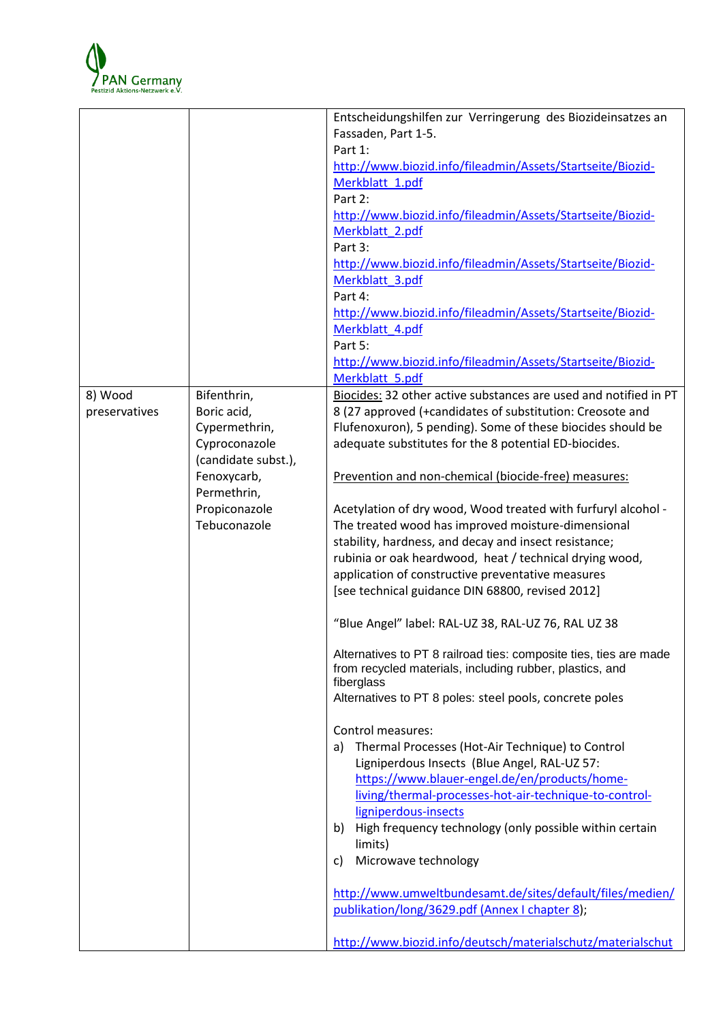

|               |                     | Entscheidungshilfen zur Verringerung des Biozideinsatzes an       |
|---------------|---------------------|-------------------------------------------------------------------|
|               |                     | Fassaden, Part 1-5.                                               |
|               |                     | Part 1:                                                           |
|               |                     | http://www.biozid.info/fileadmin/Assets/Startseite/Biozid-        |
|               |                     | Merkblatt_1.pdf                                                   |
|               |                     | Part 2:                                                           |
|               |                     | http://www.biozid.info/fileadmin/Assets/Startseite/Biozid-        |
|               |                     | Merkblatt 2.pdf                                                   |
|               |                     | Part 3:                                                           |
|               |                     |                                                                   |
|               |                     | http://www.biozid.info/fileadmin/Assets/Startseite/Biozid-        |
|               |                     | Merkblatt 3.pdf                                                   |
|               |                     | Part 4:                                                           |
|               |                     | http://www.biozid.info/fileadmin/Assets/Startseite/Biozid-        |
|               |                     | Merkblatt 4.pdf                                                   |
|               |                     | Part 5:                                                           |
|               |                     | http://www.biozid.info/fileadmin/Assets/Startseite/Biozid-        |
|               |                     | Merkblatt 5.pdf                                                   |
| 8) Wood       | Bifenthrin,         | Biocides: 32 other active substances are used and notified in PT  |
| preservatives | Boric acid,         | 8 (27 approved (+candidates of substitution: Creosote and         |
|               | Cypermethrin,       | Flufenoxuron), 5 pending). Some of these biocides should be       |
|               | Cyproconazole       | adequate substitutes for the 8 potential ED-biocides.             |
|               | (candidate subst.), |                                                                   |
|               | Fenoxycarb,         | Prevention and non-chemical (biocide-free) measures:              |
|               | Permethrin,         |                                                                   |
|               | Propiconazole       | Acetylation of dry wood, Wood treated with furfuryl alcohol -     |
|               | Tebuconazole        | The treated wood has improved moisture-dimensional                |
|               |                     | stability, hardness, and decay and insect resistance;             |
|               |                     | rubinia or oak heardwood, heat / technical drying wood,           |
|               |                     | application of constructive preventative measures                 |
|               |                     | [see technical guidance DIN 68800, revised 2012]                  |
|               |                     |                                                                   |
|               |                     | "Blue Angel" label: RAL-UZ 38, RAL-UZ 76, RAL UZ 38               |
|               |                     |                                                                   |
|               |                     | Alternatives to PT 8 railroad ties: composite ties, ties are made |
|               |                     | from recycled materials, including rubber, plastics, and          |
|               |                     | fiberglass                                                        |
|               |                     | Alternatives to PT 8 poles: steel pools, concrete poles           |
|               |                     |                                                                   |
|               |                     | Control measures:                                                 |
|               |                     | a) Thermal Processes (Hot-Air Technique) to Control               |
|               |                     | Ligniperdous Insects (Blue Angel, RAL-UZ 57:                      |
|               |                     | https://www.blauer-engel.de/en/products/home-                     |
|               |                     | living/thermal-processes-hot-air-technique-to-control-            |
|               |                     | ligniperdous-insects                                              |
|               |                     | High frequency technology (only possible within certain<br>b)     |
|               |                     | limits)                                                           |
|               |                     | Microwave technology<br>C)                                        |
|               |                     |                                                                   |
|               |                     | http://www.umweltbundesamt.de/sites/default/files/medien/         |
|               |                     | publikation/long/3629.pdf (Annex I chapter 8);                    |
|               |                     |                                                                   |
|               |                     | http://www.biozid.info/deutsch/materialschutz/materialschut       |
|               |                     |                                                                   |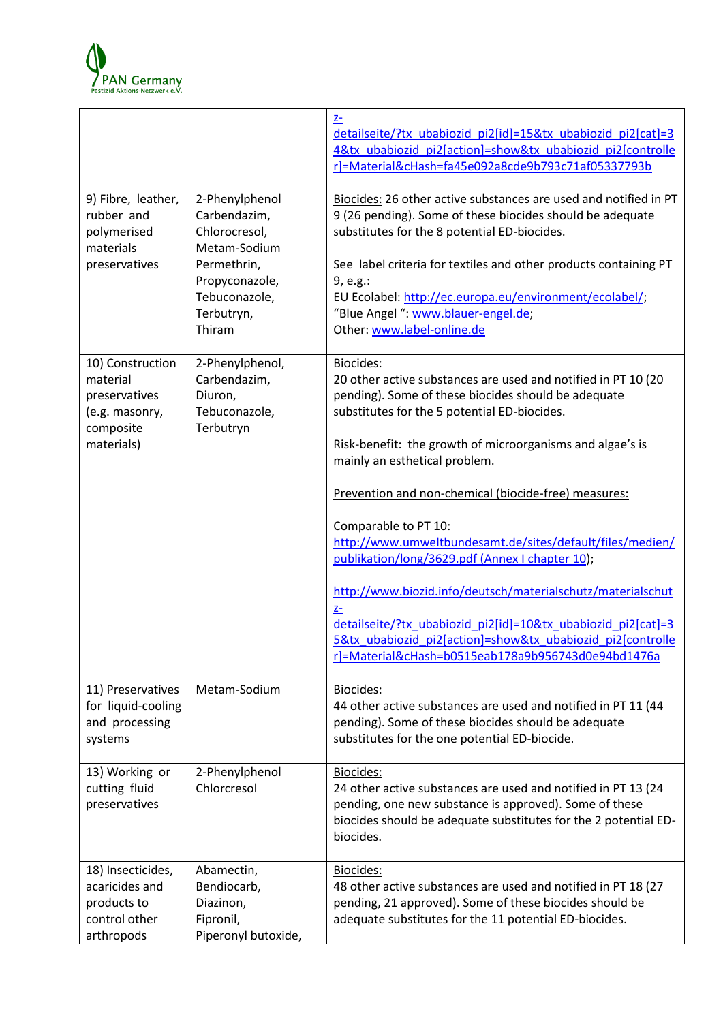

|                                                                                            |                                                                                                                                           | $\underline{Z}$<br>detailseite/?tx ubabiozid pi2[id]=15&tx ubabiozid pi2[cat]=3<br>4&tx ubabiozid pi2[action]=show&tx ubabiozid pi2[controlle<br>r]=Material&cHash=fa45e092a8cde9b793c71af05337793b                                                                                                                                                                                                                                                                                                                                                                                                                                                                                                                                        |
|--------------------------------------------------------------------------------------------|-------------------------------------------------------------------------------------------------------------------------------------------|--------------------------------------------------------------------------------------------------------------------------------------------------------------------------------------------------------------------------------------------------------------------------------------------------------------------------------------------------------------------------------------------------------------------------------------------------------------------------------------------------------------------------------------------------------------------------------------------------------------------------------------------------------------------------------------------------------------------------------------------|
| 9) Fibre, leather,<br>rubber and<br>polymerised<br>materials<br>preservatives              | 2-Phenylphenol<br>Carbendazim,<br>Chlorocresol,<br>Metam-Sodium<br>Permethrin,<br>Propyconazole,<br>Tebuconazole,<br>Terbutryn,<br>Thiram | Biocides: 26 other active substances are used and notified in PT<br>9 (26 pending). Some of these biocides should be adequate<br>substitutes for the 8 potential ED-biocides.<br>See label criteria for textiles and other products containing PT<br>9, e.g.:<br>EU Ecolabel: http://ec.europa.eu/environment/ecolabel/;<br>"Blue Angel ": www.blauer-engel.de;<br>Other: www.label-online.de                                                                                                                                                                                                                                                                                                                                              |
| 10) Construction<br>material<br>preservatives<br>(e.g. masonry,<br>composite<br>materials) | 2-Phenylphenol,<br>Carbendazim,<br>Diuron,<br>Tebuconazole,<br>Terbutryn                                                                  | Biocides:<br>20 other active substances are used and notified in PT 10 (20<br>pending). Some of these biocides should be adequate<br>substitutes for the 5 potential ED-biocides.<br>Risk-benefit: the growth of microorganisms and algae's is<br>mainly an esthetical problem.<br>Prevention and non-chemical (biocide-free) measures:<br>Comparable to PT 10:<br>http://www.umweltbundesamt.de/sites/default/files/medien/<br>publikation/long/3629.pdf (Annex I chapter 10);<br>http://www.biozid.info/deutsch/materialschutz/materialschut<br>$Z-$<br>detailseite/?tx ubabiozid pi2[id]=10&tx ubabiozid pi2[cat]=3<br>5&tx_ubabiozid_pi2[action]=show&tx_ubabiozid_pi2[controlle<br>r]=Material&cHash=b0515eab178a9b956743d0e94bd1476a |
| 11) Preservatives<br>for liquid-cooling<br>and processing<br>systems                       | Metam-Sodium                                                                                                                              | Biocides:<br>44 other active substances are used and notified in PT 11 (44<br>pending). Some of these biocides should be adequate<br>substitutes for the one potential ED-biocide.                                                                                                                                                                                                                                                                                                                                                                                                                                                                                                                                                         |
| 13) Working or<br>cutting fluid<br>preservatives                                           | 2-Phenylphenol<br>Chlorcresol                                                                                                             | Biocides:<br>24 other active substances are used and notified in PT 13 (24<br>pending, one new substance is approved). Some of these<br>biocides should be adequate substitutes for the 2 potential ED-<br>biocides.                                                                                                                                                                                                                                                                                                                                                                                                                                                                                                                       |
| 18) Insecticides,<br>acaricides and<br>products to<br>control other<br>arthropods          | Abamectin,<br>Bendiocarb,<br>Diazinon,<br>Fipronil,<br>Piperonyl butoxide,                                                                | Biocides:<br>48 other active substances are used and notified in PT 18 (27<br>pending, 21 approved). Some of these biocides should be<br>adequate substitutes for the 11 potential ED-biocides.                                                                                                                                                                                                                                                                                                                                                                                                                                                                                                                                            |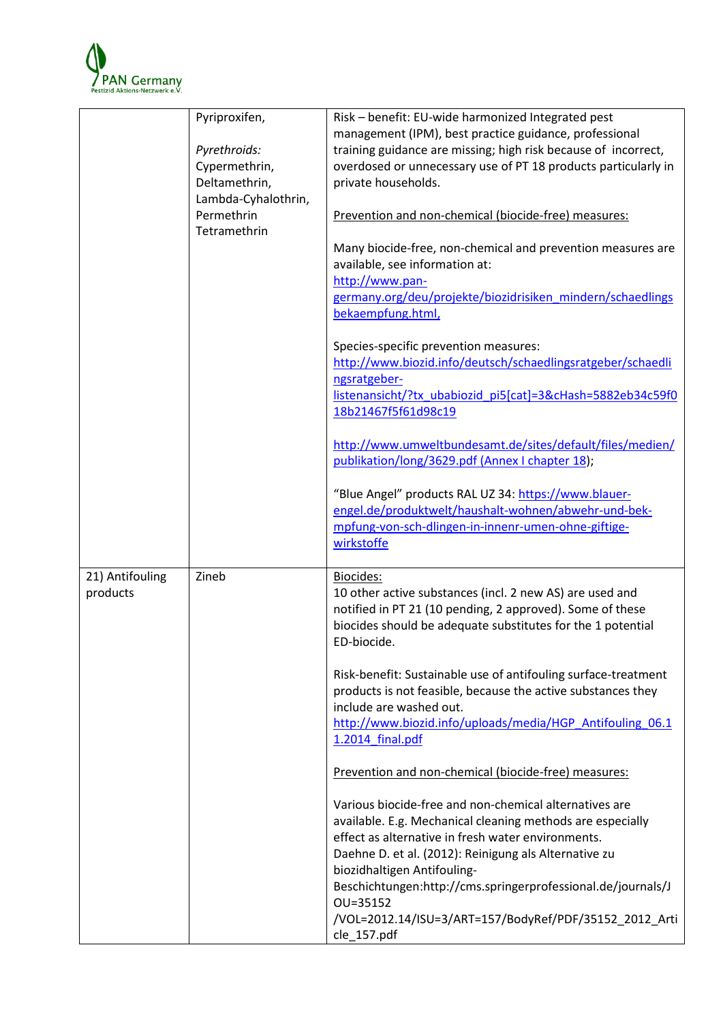

|                             | Pyriproxifen,<br>Pyrethroids:<br>Cypermethrin,<br>Deltamethrin,<br>Lambda-Cyhalothrin,<br>Permethrin<br>Tetramethrin | Risk - benefit: EU-wide harmonized Integrated pest<br>management (IPM), best practice guidance, professional<br>training guidance are missing; high risk because of incorrect,<br>overdosed or unnecessary use of PT 18 products particularly in<br>private households.<br>Prevention and non-chemical (biocide-free) measures:<br>Many biocide-free, non-chemical and prevention measures are<br>available, see information at:<br>http://www.pan-<br>germany.org/deu/projekte/biozidrisiken_mindern/schaedlings<br>bekaempfung.html,<br>Species-specific prevention measures:<br>http://www.biozid.info/deutsch/schaedlingsratgeber/schaedli<br>ngsratgeber-<br>listenansicht/?tx ubabiozid pi5[cat]=3&cHash=5882eb34c59f0<br>18b21467f5f61d98c19<br>http://www.umweltbundesamt.de/sites/default/files/medien/<br>publikation/long/3629.pdf (Annex I chapter 18);<br>"Blue Angel" products RAL UZ 34: https://www.blauer- |
|-----------------------------|----------------------------------------------------------------------------------------------------------------------|-----------------------------------------------------------------------------------------------------------------------------------------------------------------------------------------------------------------------------------------------------------------------------------------------------------------------------------------------------------------------------------------------------------------------------------------------------------------------------------------------------------------------------------------------------------------------------------------------------------------------------------------------------------------------------------------------------------------------------------------------------------------------------------------------------------------------------------------------------------------------------------------------------------------------------|
|                             |                                                                                                                      | engel.de/produktwelt/haushalt-wohnen/abwehr-und-bek-<br>mpfung-von-sch-dlingen-in-innenr-umen-ohne-giftige-<br>wirkstoffe                                                                                                                                                                                                                                                                                                                                                                                                                                                                                                                                                                                                                                                                                                                                                                                                   |
| 21) Antifouling<br>products | Zineb                                                                                                                | Biocides:<br>10 other active substances (incl. 2 new AS) are used and<br>notified in PT 21 (10 pending, 2 approved). Some of these<br>biocides should be adequate substitutes for the 1 potential<br>ED-biocide.<br>Risk-benefit: Sustainable use of antifouling surface-treatment<br>products is not feasible, because the active substances they<br>include are washed out.<br>http://www.biozid.info/uploads/media/HGP Antifouling 06.1<br>1.2014 final.pdf                                                                                                                                                                                                                                                                                                                                                                                                                                                              |
|                             |                                                                                                                      | Prevention and non-chemical (biocide-free) measures:<br>Various biocide-free and non-chemical alternatives are<br>available. E.g. Mechanical cleaning methods are especially<br>effect as alternative in fresh water environments.<br>Daehne D. et al. (2012): Reinigung als Alternative zu<br>biozidhaltigen Antifouling-<br>Beschichtungen:http://cms.springerprofessional.de/journals/J<br>OU=35152<br>/VOL=2012.14/ISU=3/ART=157/BodyRef/PDF/35152_2012_Arti<br>cle_157.pdf                                                                                                                                                                                                                                                                                                                                                                                                                                             |